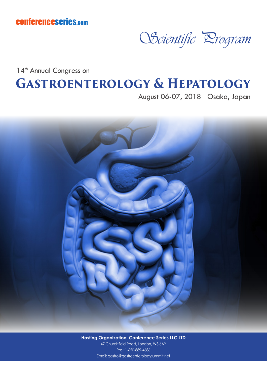conferenceseries.com



14<sup>th</sup> Annual Congress on **Gastroenterology & Hepatology**

August 06-07, 2018 Osaka, Japan



**Hosting Organization: Conference Series LLC LTD** 47 Churchfield Road, London, W3 6AY Ph: +1-650-889-4686 Email: gastro@gastroenterologysummit.net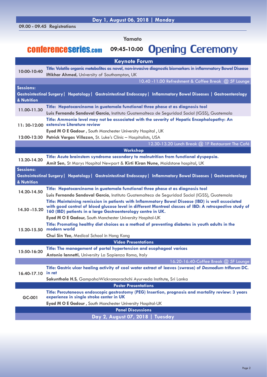**Yamato**

## conferenceseries.com **09:45-10:00** Opening Ceremony

| <b>Keynote Forum</b>                                                                                                                                   |                                                                                                                                                                                                                                                                                                                                                   |  |
|--------------------------------------------------------------------------------------------------------------------------------------------------------|---------------------------------------------------------------------------------------------------------------------------------------------------------------------------------------------------------------------------------------------------------------------------------------------------------------------------------------------------|--|
| 10:00-10:40                                                                                                                                            | Title: Volatile organic metabolites as novel, non-invasive diagnostic biomarkers in inflammatory Bowel Disease<br><b>Iftikhar Ahmed, University of Southampton, UK</b>                                                                                                                                                                            |  |
|                                                                                                                                                        | 10.40 -11.00 Refreshment & Coffee Break @ 5F Lounge                                                                                                                                                                                                                                                                                               |  |
| <b>Sessions:</b><br>& Nutrition                                                                                                                        | Gastrointestinal Surgery   Hepatology   Gastrointestinal Endoscopy   Inflammatory Bowel Diseases   Gastroenterology                                                                                                                                                                                                                               |  |
| 11.00-11.30                                                                                                                                            | Title: Hepatocarcinoma in guatemala functional three phase ct as diagnosis tool<br>Luis Fernando Sandoval García, Instituto Guatemalteco de Seguridad Social (IGSS), Guatemala                                                                                                                                                                    |  |
|                                                                                                                                                        | Title: Ammonia level may not be associated with the severity of Hepatic Encephalopathy: An<br>11: 30-12:00 extensive Literature review                                                                                                                                                                                                            |  |
|                                                                                                                                                        | Eyad M O E Gadour, South Manchester University Hospital, UK                                                                                                                                                                                                                                                                                       |  |
|                                                                                                                                                        | 12:00-12:30 Patrick Vargas Villazon, St. Luke's Clinic - Hospitalists, USA<br>12.30-13.20 Lunch Break @ 1F Restaurant The Café                                                                                                                                                                                                                    |  |
|                                                                                                                                                        | Workshop                                                                                                                                                                                                                                                                                                                                          |  |
| 13.20-14.20                                                                                                                                            | Title: Acute brainstem syndrome secondary to malnutrition from functional dyspepsia.<br>Amit Sen, St Marys Hospital Newport & Kirti Kiran Nune, Maidstone hospital, UK                                                                                                                                                                            |  |
| <b>Sessions:</b><br>Gastrointestinal Surgery   Hepatology   Gastrointestinal Endoscopy   Inflammatory Bowel Diseases   Gastroenterology<br>& Nutrition |                                                                                                                                                                                                                                                                                                                                                   |  |
| 14.20-14.50                                                                                                                                            | Title: Hepatocarcinoma in guatemala functional three phase ct as diagnosis tool<br>Luis Fernando Sandoval García, Instituto Guatemalteco de Seguridad Social (IGSS), Guatemala                                                                                                                                                                    |  |
| 14.50 - 15.20                                                                                                                                          | Title: Maintaining remission in patients with Inflammatory Bowel Disease (IBD) is well associated<br>with good control of blood glucose level in different Montreal classes of IBD: A retrospective study of<br>160 (IBD) patients in a large Gastroenterology centre in UK.<br><b>Eyad M O E Gadour, South Manchester University Hospital-UK</b> |  |
| 15.20-15.50                                                                                                                                            | Title: Promoting healthy diet choices as a method of preventing diabetes in youth adults in the<br>modern world<br>Chui Sin Yee, Medical School in Hong Kong                                                                                                                                                                                      |  |
| <b>Video Presentations</b>                                                                                                                             |                                                                                                                                                                                                                                                                                                                                                   |  |
| 15:50-16:20                                                                                                                                            | Title: The management of portal hypertension and esophageal varices<br>Antonio lannetti, University La Sapienza Roma, Italy                                                                                                                                                                                                                       |  |
|                                                                                                                                                        | 16.20-16.40-Coffee Break @ 5F Lounge                                                                                                                                                                                                                                                                                                              |  |
| 16.40-17.10                                                                                                                                            | Title: Gastric ulcer healing activity of cool water extract of leaves (swrasa) of Desmodium triflorum DC.<br>in rat<br>Sakunthala H.S, GampahaWickramarachchi Ayurveda Institute, Sri Lanka                                                                                                                                                       |  |
| <b>Poster Presentations</b>                                                                                                                            |                                                                                                                                                                                                                                                                                                                                                   |  |
| GC-001                                                                                                                                                 | Title: Percutaneous endoscopic gastrostomy (PEG) Insertion, prognosis and mortality review: 3 years<br>experience in single stroke center in UK                                                                                                                                                                                                   |  |
|                                                                                                                                                        | Eyad M O E Gadour, South Manchester University Hospital-UK<br><b>Panel Discussions</b>                                                                                                                                                                                                                                                            |  |
|                                                                                                                                                        | Day 2, August 07, 2018   Tuesday                                                                                                                                                                                                                                                                                                                  |  |
|                                                                                                                                                        |                                                                                                                                                                                                                                                                                                                                                   |  |